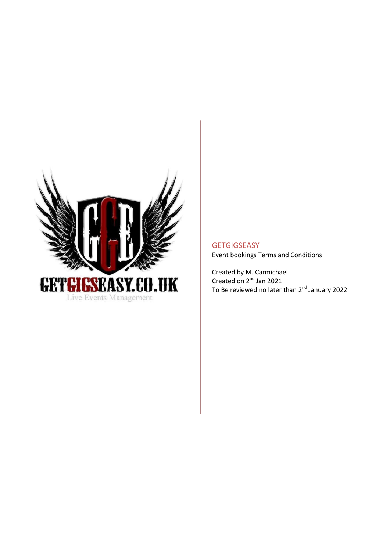

**GETGIGSEASY** Event bookings Terms and Conditions

Created by M. Carmichael Created on 2<sup>nd</sup> Jan 2021 To Be reviewed no later than 2<sup>nd</sup> January 2022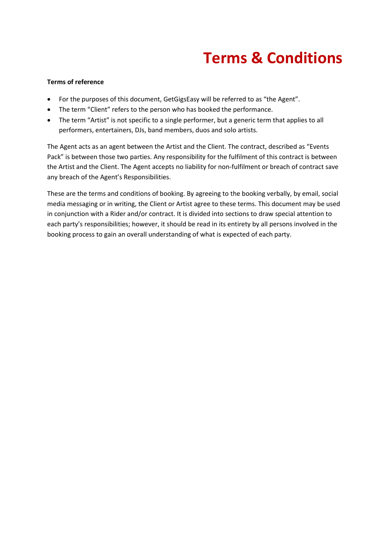# **Terms & Conditions**

### **Terms of reference**

- For the purposes of this document, GetGigsEasy will be referred to as "the Agent".
- The term "Client" refers to the person who has booked the performance.
- The term "Artist" is not specific to a single performer, but a generic term that applies to all performers, entertainers, DJs, band members, duos and solo artists.

The Agent acts as an agent between the Artist and the Client. The contract, described as "Events Pack" is between those two parties. Any responsibility for the fulfilment of this contract is between the Artist and the Client. The Agent accepts no liability for non-fulfilment or breach of contract save any breach of the Agent's Responsibilities.

These are the terms and conditions of booking. By agreeing to the booking verbally, by email, social media messaging or in writing, the Client or Artist agree to these terms. This document may be used in conjunction with a Rider and/or contract. It is divided into sections to draw special attention to each party's responsibilities; however, it should be read in its entirety by all persons involved in the booking process to gain an overall understanding of what is expected of each party.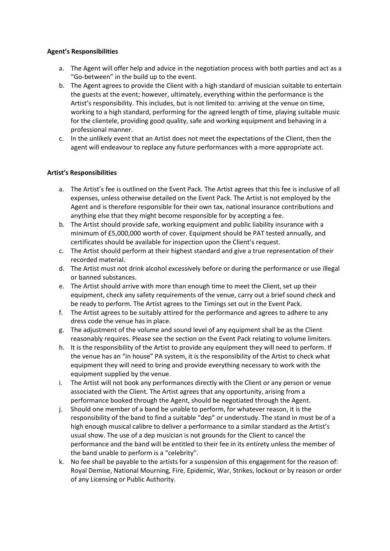### **Agent's Responsibilities**

- a. The Agent will offer help and advice in the negotiation process with both parties and act as a "Go-between" in the build up to the event.
- b. The Agent agrees to provide the Client with a high standard of musician suitable to entertain the guests at the event; however, ultimately, everything within the performance is the Artist's responsibility. This includes, but is not limited to: arriving at the venue on time, working to a high standard, performing for the agreed length of time, playing suitable music for the clientele, providing good quality, safe and working equipment and behaving in a professional manner.
- c. In the unlikely event that an Artist does not meet the expectations of the Client, then the agent will endeavour to replace any future performances with a more appropriate act.

## **Artist's Responsibilities**

- a. The Artist's fee is outlined on the Event Pack. The Artist agrees that this fee is inclusive of all expenses, unless otherwise detailed on the Event Pack. The Artist is not employed by the Agent and is therefore responsible for their own tax, national insurance contributions and anything else that they might become responsible for by accepting a fee.
- b. The Artist should provide safe, working equipment and public liability insurance with a minimum of £5,000,000 worth of cover. Equipment should be PAT tested annually, and certificates should be available for inspection upon the Client's request.
- c. The Artist should perform at their highest standard and give a true representation of their recorded material.
- d. The Artist must not drink alcohol excessively before or during the performance or use illegal or banned substances.
- e. The Artist should arrive with more than enough time to meet the Client, set up their equipment, check any safety requirements of the venue, carry out a brief sound check and be ready to perform. The Artist agrees to the Timings set out in the Event Pack.
- f. The Artist agrees to be suitably attired for the performance and agrees to adhere to any dress code the venue has in place.
- g. The adjustment of the volume and sound level of any equipment shall be as the Client reasonably requires. Please see the section on the Event Pack relating to volume limiters.
- h. It is the responsibility of the Artist to provide any equipment they will need to perform. If the venue has an "in house" PA system, it is the responsibility of the Artist to check what equipment they will need to bring and provide everything necessary to work with the equipment supplied by the venue.
- i. The Artist will not book any performances directly with the Client or any person or venue associated with the Client. The Artist agrees that any opportunity, arising from a performance booked through the Agent, should be negotiated through the Agent.
- j. Should one member of a band be unable to perform, for whatever reason, it is the responsibility of the band to find a suitable "dep" or understudy. The stand in must be of a high enough musical calibre to deliver a performance to a similar standard as the Artist's usual show. The use of a dep musician is not grounds for the Client to cancel the performance and the band will be entitled to their fee in its entirety unless the member of the band unable to perform is a "celebrity".
- k. No fee shall be payable to the artists for a suspension of this engagement for the reason of: Royal Demise, National Mourning, Fire, Epidemic, War, Strikes, lockout or by reason or order of any Licensing or Public Authority.